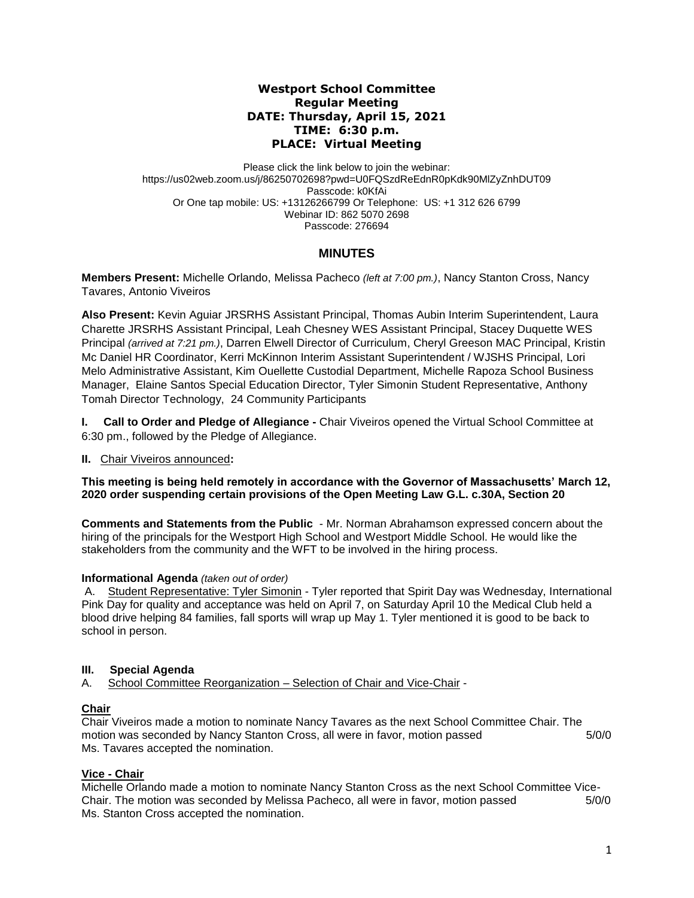## **Westport School Committee Regular Meeting DATE: Thursday, April 15, 2021 TIME: 6:30 p.m. PLACE: Virtual Meeting**

Please click the link below to join the webinar: https://us02web.zoom.us/j/86250702698?pwd=U0FQSzdReEdnR0pKdk90MlZyZnhDUT09 Passcode: k0KfAi Or One tap mobile: US: +13126266799 Or Telephone: US: +1 312 626 6799 Webinar ID: 862 5070 2698 Passcode: 276694

# **MINUTES**

**Members Present:** Michelle Orlando, Melissa Pacheco *(left at 7:00 pm.)*, Nancy Stanton Cross, Nancy Tavares, Antonio Viveiros

**Also Present:** Kevin Aguiar JRSRHS Assistant Principal, Thomas Aubin Interim Superintendent, Laura Charette JRSRHS Assistant Principal, Leah Chesney WES Assistant Principal, Stacey Duquette WES Principal *(arrived at 7:21 pm.)*, Darren Elwell Director of Curriculum, Cheryl Greeson MAC Principal, Kristin Mc Daniel HR Coordinator, Kerri McKinnon Interim Assistant Superintendent / WJSHS Principal, Lori Melo Administrative Assistant, Kim Ouellette Custodial Department, Michelle Rapoza School Business Manager, Elaine Santos Special Education Director, Tyler Simonin Student Representative, Anthony Tomah Director Technology, 24 Community Participants

**I. Call to Order and Pledge of Allegiance -** Chair Viveiros opened the Virtual School Committee at 6:30 pm., followed by the Pledge of Allegiance.

#### **II.** Chair Viveiros announced**:**

**This meeting is being held remotely in accordance with the Governor of Massachusetts' March 12, 2020 order suspending certain provisions of the Open Meeting Law G.L. c.30A, Section 20**

**Comments and Statements from the Public** - Mr. Norman Abrahamson expressed concern about the hiring of the principals for the Westport High School and Westport Middle School. He would like the stakeholders from the community and the WFT to be involved in the hiring process.

#### **Informational Agenda** *(taken out of order)*

A. Student Representative: Tyler Simonin - Tyler reported that Spirit Day was Wednesday, International Pink Day for quality and acceptance was held on April 7, on Saturday April 10 the Medical Club held a blood drive helping 84 families, fall sports will wrap up May 1. Tyler mentioned it is good to be back to school in person.

## **III. Special Agenda**

A. School Committee Reorganization – Selection of Chair and Vice-Chair -

## **Chair**

Chair Viveiros made a motion to nominate Nancy Tavares as the next School Committee Chair. The motion was seconded by Nancy Stanton Cross, all were in favor, motion passed 5/0/0 Ms. Tavares accepted the nomination.

#### **Vice - Chair**

Michelle Orlando made a motion to nominate Nancy Stanton Cross as the next School Committee Vice-Chair. The motion was seconded by Melissa Pacheco, all were in favor, motion passed 5/0/0 Ms. Stanton Cross accepted the nomination.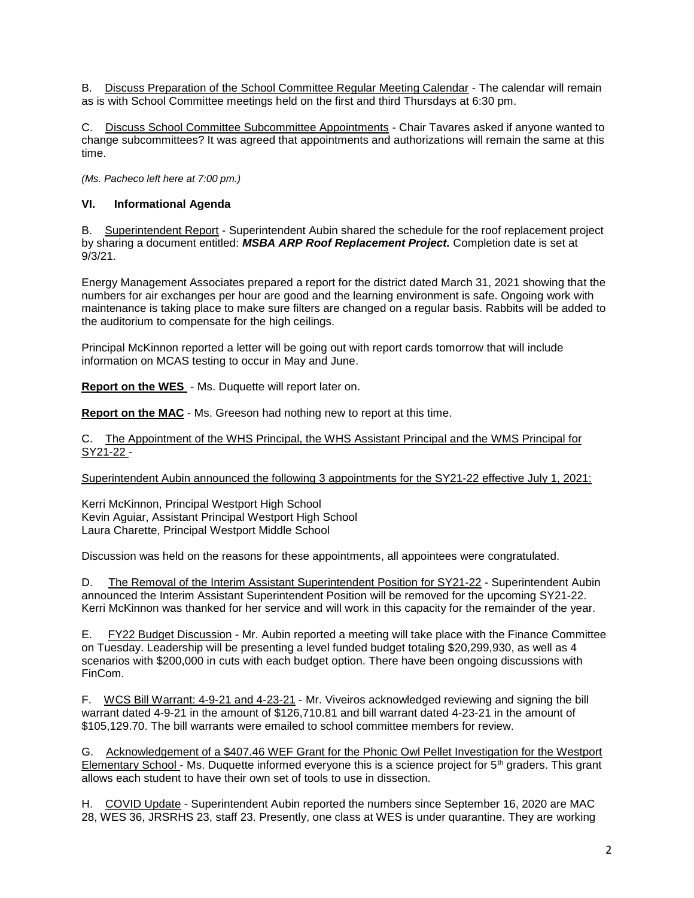B. Discuss Preparation of the School Committee Regular Meeting Calendar - The calendar will remain as is with School Committee meetings held on the first and third Thursdays at 6:30 pm.

C. Discuss School Committee Subcommittee Appointments - Chair Tavares asked if anyone wanted to change subcommittees? It was agreed that appointments and authorizations will remain the same at this time.

*(Ms. Pacheco left here at 7:00 pm.)* 

## **VI. Informational Agenda**

B. Superintendent Report - Superintendent Aubin shared the schedule for the roof replacement project by sharing a document entitled: *MSBA ARP Roof Replacement Project.* Completion date is set at 9/3/21.

Energy Management Associates prepared a report for the district dated March 31, 2021 showing that the numbers for air exchanges per hour are good and the learning environment is safe. Ongoing work with maintenance is taking place to make sure filters are changed on a regular basis. Rabbits will be added to the auditorium to compensate for the high ceilings.

Principal McKinnon reported a letter will be going out with report cards tomorrow that will include information on MCAS testing to occur in May and June.

**Report on the WES** - Ms. Duquette will report later on.

**Report on the MAC** - Ms. Greeson had nothing new to report at this time.

C. The Appointment of the WHS Principal, the WHS Assistant Principal and the WMS Principal for SY21-22 -

Superintendent Aubin announced the following 3 appointments for the SY21-22 effective July 1, 2021:

Kerri McKinnon, Principal Westport High School Kevin Aguiar, Assistant Principal Westport High School Laura Charette, Principal Westport Middle School

Discussion was held on the reasons for these appointments, all appointees were congratulated.

D. The Removal of the Interim Assistant Superintendent Position for SY21-22 - Superintendent Aubin announced the Interim Assistant Superintendent Position will be removed for the upcoming SY21-22. Kerri McKinnon was thanked for her service and will work in this capacity for the remainder of the year.

E. FY22 Budget Discussion - Mr. Aubin reported a meeting will take place with the Finance Committee on Tuesday. Leadership will be presenting a level funded budget totaling \$20,299,930, as well as 4 scenarios with \$200,000 in cuts with each budget option. There have been ongoing discussions with FinCom.

F. WCS Bill Warrant: 4-9-21 and 4-23-21 - Mr. Viveiros acknowledged reviewing and signing the bill warrant dated 4-9-21 in the amount of \$126,710.81 and bill warrant dated 4-23-21 in the amount of \$105,129.70. The bill warrants were emailed to school committee members for review.

G. Acknowledgement of a \$407.46 WEF Grant for the Phonic Owl Pellet Investigation for the Westport Elementary School - Ms. Duquette informed everyone this is a science project for  $5<sup>th</sup>$  graders. This grant allows each student to have their own set of tools to use in dissection.

H. COVID Update - Superintendent Aubin reported the numbers since September 16, 2020 are MAC 28, WES 36, JRSRHS 23, staff 23. Presently, one class at WES is under quarantine. They are working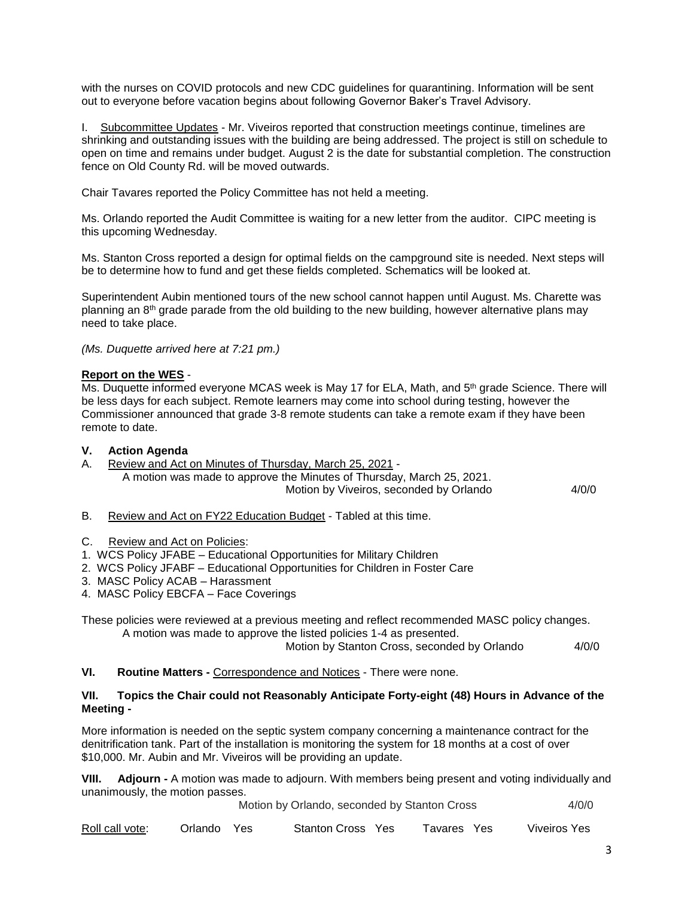with the nurses on COVID protocols and new CDC guidelines for quarantining. Information will be sent out to everyone before vacation begins about following Governor Baker's Travel Advisory.

I. Subcommittee Updates - Mr. Viveiros reported that construction meetings continue, timelines are shrinking and outstanding issues with the building are being addressed. The project is still on schedule to open on time and remains under budget. August 2 is the date for substantial completion. The construction fence on Old County Rd. will be moved outwards.

Chair Tavares reported the Policy Committee has not held a meeting.

Ms. Orlando reported the Audit Committee is waiting for a new letter from the auditor. CIPC meeting is this upcoming Wednesday.

Ms. Stanton Cross reported a design for optimal fields on the campground site is needed. Next steps will be to determine how to fund and get these fields completed. Schematics will be looked at.

Superintendent Aubin mentioned tours of the new school cannot happen until August. Ms. Charette was planning an 8th grade parade from the old building to the new building, however alternative plans may need to take place.

*(Ms. Duquette arrived here at 7:21 pm.)*

## **Report on the WES** -

Ms. Duquette informed everyone MCAS week is May 17 for ELA, Math, and 5<sup>th</sup> grade Science. There will be less days for each subject. Remote learners may come into school during testing, however the Commissioner announced that grade 3-8 remote students can take a remote exam if they have been remote to date.

### **V. Action Agenda**

A. Review and Act on Minutes of Thursday, March 25, 2021 - A motion was made to approve the Minutes of Thursday, March 25, 2021. Motion by Viveiros, seconded by Orlando 4/0/0

- B. Review and Act on FY22 Education Budget Tabled at this time.
- C. Review and Act on Policies:
- 1. WCS Policy JFABE Educational Opportunities for Military Children
- 2. WCS Policy JFABF Educational Opportunities for Children in Foster Care
- 3. MASC Policy ACAB Harassment
- 4. MASC Policy EBCFA Face Coverings

These policies were reviewed at a previous meeting and reflect recommended MASC policy changes. A motion was made to approve the listed policies 1-4 as presented.

Motion by Stanton Cross, seconded by Orlando 4/0/0

**VI. Routine Matters -** Correspondence and Notices - There were none.

#### **VII. Topics the Chair could not Reasonably Anticipate Forty-eight (48) Hours in Advance of the Meeting -**

More information is needed on the septic system company concerning a maintenance contract for the denitrification tank. Part of the installation is monitoring the system for 18 months at a cost of over \$10,000. Mr. Aubin and Mr. Viveiros will be providing an update.

**VIII. Adjourn -** A motion was made to adjourn. With members being present and voting individually and unanimously, the motion passes.

**Motion by Orlando, seconded by Stanton Cross 4/0/0** 

| Roll call vote:<br>Orlando Yes |  | Stanton Cross Yes |  | Tavares Yes |  | Viveiros Yes |
|--------------------------------|--|-------------------|--|-------------|--|--------------|
|--------------------------------|--|-------------------|--|-------------|--|--------------|